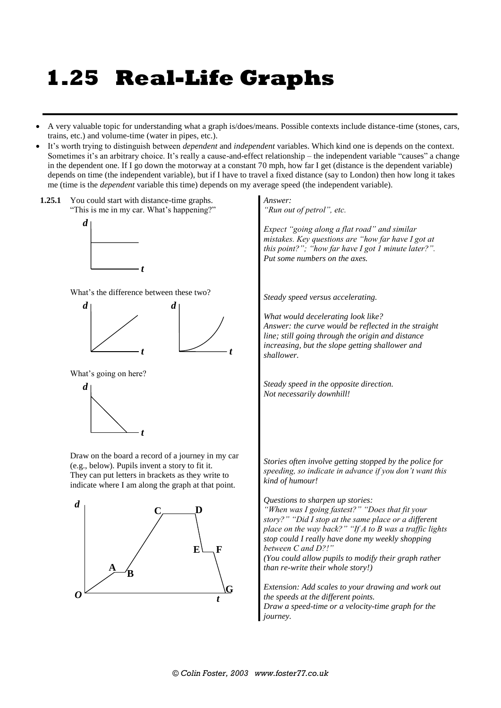# **1.25 Real-Life Graphs**

- A very valuable topic for understanding what a graph is/does/means. Possible contexts include distance-time (stones, cars, trains, etc.) and volume-time (water in pipes, etc.).
- It's worth trying to distinguish between *dependent* and *independent* variables. Which kind one is depends on the context. Sometimes it's an arbitrary choice. It's really a cause-and-effect relationship – the independent variable "causes" a change in the dependent one. If I go down the motorway at a constant 70 mph, how far I get (distance is the dependent variable) depends on time (the independent variable), but if I have to travel a fixed distance (say to London) then how long it takes me (time is the *dependent* variable this time) depends on my average speed (the independent variable).

*t*

**1.25.1** You could start with distance-time graphs. "This is me in my car. What's happening?"



What's the difference between these two?

*t*



What's going on here?



Draw on the board a record of a journey in my car (e.g., below). Pupils invent a story to fit it. They can put letters in brackets as they write to indicate where I am along the graph at that point.



*Answer: "Run out of petrol", etc.*

*Expect "going along a flat road" and similar mistakes. Key questions are "how far have I got at this point?"; "how far have I got 1 minute later?". Put some numbers on the axes.*

*Steady speed versus accelerating.*

*What would decelerating look like? Answer: the curve would be reflected in the straight line; still going through the origin and distance increasing, but the slope getting shallower and shallower.*

*Steady speed in the opposite direction. Not necessarily downhill!*

*Stories often involve getting stopped by the police for speeding, so indicate in advance if you don't want this kind of humour!*

*Questions to sharpen up stories:*

*"When was I going fastest?" "Does that fit your story?" "Did I stop at the same place or a different place on the way back?" "If A to B was a traffic lights stop could I really have done my weekly shopping between C and D?!"*

*(You could allow pupils to modify their graph rather than re-write their whole story!)*

*Extension: Add scales to your drawing and work out the speeds at the different points. Draw a speed-time or a velocity-time graph for the journey.*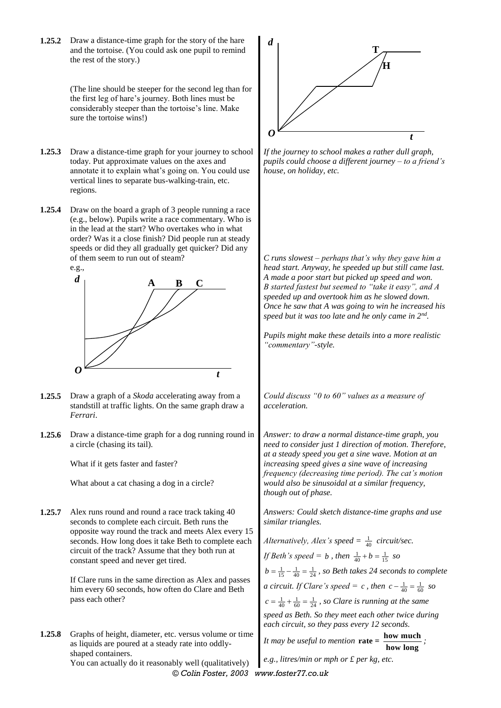**1.25.2** Draw a distance-time graph for the story of the hare and the tortoise. (You could ask one pupil to remind the rest of the story.)

> (The line should be steeper for the second leg than for the first leg of hare's journey. Both lines must be considerably steeper than the tortoise's line. Make sure the tortoise wins!)

- **1.25.3** Draw a distance-time graph for your journey to school today. Put approximate values on the axes and annotate it to explain what's going on. You could use vertical lines to separate bus-walking-train, etc. regions.
- **1.25.4** Draw on the board a graph of 3 people running a race (e.g., below). Pupils write a race commentary. Who is in the lead at the start? Who overtakes who in what order? Was it a close finish? Did people run at steady speeds or did they all gradually get quicker? Did any of them seem to run out of steam?



- **1.25.5** Draw a graph of a *Skoda* accelerating away from a standstill at traffic lights. On the same graph draw a *Ferrari*.
- **1.25.6** Draw a distance-time graph for a dog running round in a circle (chasing its tail).

What if it gets faster and faster?

What about a cat chasing a dog in a circle?

**1.25.7** Alex runs round and round a race track taking 40 seconds to complete each circuit. Beth runs the opposite way round the track and meets Alex every 15 seconds. How long does it take Beth to complete each circuit of the track? Assume that they both run at constant speed and never get tired.

> If Clare runs in the same direction as Alex and passes him every 60 seconds, how often do Clare and Beth pass each other?

**1.25.8** Graphs of height, diameter, etc. versus volume or time as liquids are poured at a steady rate into oddlyshaped containers.

You can actually do it reasonably well (qualitatively)



*If the journey to school makes a rather dull graph, pupils could choose a different journey – to a friend's house, on holiday, etc.*

*C runs slowest – perhaps that's why they gave him a head start. Anyway, he speeded up but still came last. A made a poor start but picked up speed and won. B started fastest but seemed to "take it easy", and A speeded up and overtook him as he slowed down. Once he saw that A was going to win he increased his speed but it was too late and he only came in 2nd .*

*Pupils might make these details into a more realistic "commentary"-style.*

*Could discuss "0 to 60" values as a measure of acceleration.*

*Answer: to draw a normal distance-time graph, you need to consider just 1 direction of motion. Therefore, at a steady speed you get a sine wave. Motion at an increasing speed gives a sine wave of increasing frequency (decreasing time period). The cat's motion would also be sinusoidal at a similar frequency, though out of phase.*

*Answers: Could sketch distance-time graphs and use similar triangles.*

Alternatively, Alex's speed  $=\frac{1}{40}$  circuit/sec. *If Beth's speed = b*, then  $\frac{1}{40} + b = \frac{1}{15}$  so  $b = \frac{1}{15} - \frac{1}{40} = \frac{1}{24}$ , so Beth takes 24 seconds to complete *a* circuit. If Clare's speed = c, then  $c - \frac{1}{40} = \frac{1}{60}$  so  $c = \frac{1}{40} + \frac{1}{60} = \frac{1}{24}$ , so Clare is running at the same *speed as Beth. So they meet each other twice during each circuit, so they pass every 12 seconds. It* may be useful to mention  $\text{rate} = \frac{\text{how much}}{\text{how long}}$ ;

*e.g., litres/min or mph or £ per kg, etc.*

*© Colin Foster, 2003 www.foster77.co.uk*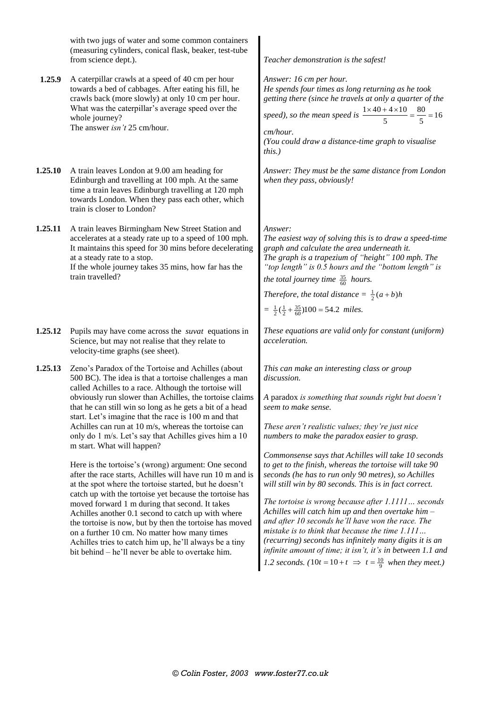with two jugs of water and some common containers (measuring cylinders, conical flask, beaker, test-tube from science dept.). *Teacher demonstration is the safest!*

**1.25.9** A caterpillar crawls at a speed of 40 cm per hour towards a bed of cabbages. After eating his fill, he crawls back (more slowly) at only 10 cm per hour. What was the caterpillar's average speed over the whole journey? The answer *isn't* 25 cm/hour.

**1.25.10** A train leaves London at 9.00 am heading for Edinburgh and travelling at 100 mph. At the same time a train leaves Edinburgh travelling at 120 mph towards London. When they pass each other, which train is closer to London?

**1.25.11** A train leaves Birmingham New Street Station and accelerates at a steady rate up to a speed of 100 mph. It maintains this speed for 30 mins before decelerating at a steady rate to a stop. If the whole journey takes 35 mins, how far has the train travelled?

- **1.25.12** Pupils may have come across the *suvat* equations in Science, but may not realise that they relate to velocity-time graphs (see sheet).
- **1.25.13** Zeno's Paradox of the Tortoise and Achilles (about 500 BC). The idea is that a tortoise challenges a man called Achilles to a race. Although the tortoise will obviously run slower than Achilles, the tortoise claims that he can still win so long as he gets a bit of a head start. Let's imagine that the race is 100 m and that Achilles can run at 10 m/s, whereas the tortoise can only do 1 m/s. Let's say that Achilles gives him a 10 m start. What will happen?

Here is the tortoise's (wrong) argument: One second after the race starts, Achilles will have run 10 m and is at the spot where the tortoise started, but he doesn't catch up with the tortoise yet because the tortoise has moved forward 1 m during that second. It takes Achilles another 0.1 second to catch up with where the tortoise is now, but by then the tortoise has moved on a further 10 cm. No matter how many times Achilles tries to catch him up, he'll always be a tiny bit behind – he'll never be able to overtake him.

*Answer: 16 cm per hour.*

*He spends four times as long returning as he took getting there (since he travels at only a quarter of the* 

speed), so the mean speed is  $\frac{1 \times 40 + 4 \times 10}{5} = \frac{80}{5} = 16$  $5 \qquad \qquad 5$  $\frac{\times 40 + 4 \times 10}{5} = \frac{80}{5} = 1$ 

*cm/hour. (You could draw a distance-time graph to visualise this.)*

*Answer: They must be the same distance from London when they pass, obviously!*

#### *Answer:*

*The easiest way of solving this is to draw a speed-time graph and calculate the area underneath it. The graph is a trapezium of "height" 100 mph. The "top length" is 0.5 hours and the "bottom length" is the total journey time*  $\frac{35}{60}$  *hours.* 

*Therefore, the total distance*  $= \frac{1}{2}(a+b)h$ 

$$
= \frac{1}{2}(\frac{1}{2} + \frac{35}{60})100 = 54.2 \ \text{miles.}
$$

*These equations are valid only for constant (uniform) acceleration.*

*This can make an interesting class or group discussion.*

*A* paradox *is something that sounds right but doesn't seem to make sense.*

*These aren't realistic values; they're just nice numbers to make the paradox easier to grasp.*

*Commonsense says that Achilles will take 10 seconds to get to the finish, whereas the tortoise will take 90 seconds (he has to run only 90 metres), so Achilles will still win by 80 seconds. This is in fact correct.*

*The tortoise is wrong because after 1.1111… seconds Achilles will catch him up and then overtake him – and after 10 seconds he'll have won the race. The mistake is to think that because the time 1.111… (recurring) seconds has infinitely many digits it is an infinite amount of time; it isn't, it's in between 1.1 and 1.2 seconds.* ( $10t = 10 + t \implies t = \frac{10}{9}$  when they meet.)